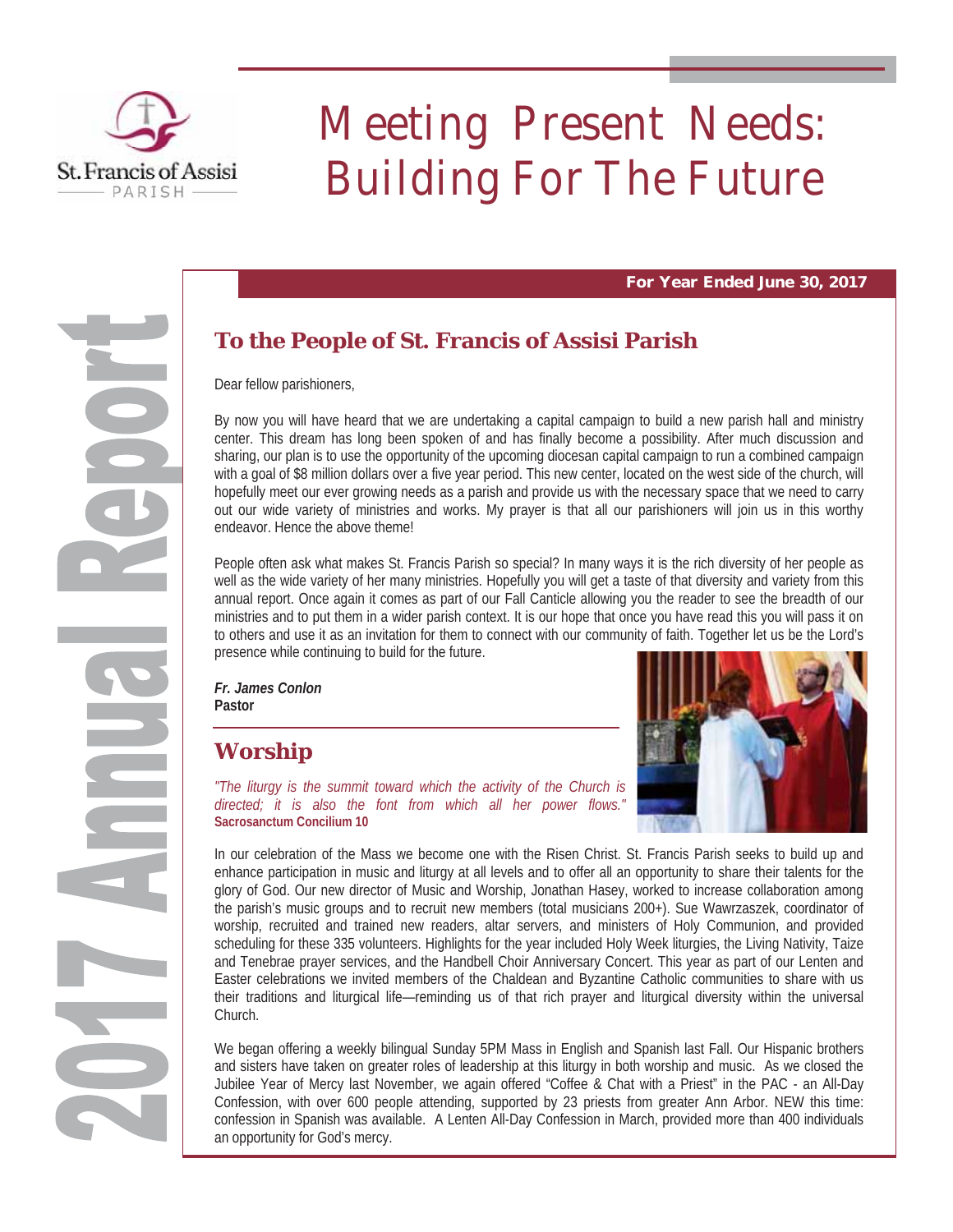

# Meeting Present Needs: Building For The Future

**For Year Ended June 30, 2017** 

## **To the People of St. Francis of Assisi Parish**

Dear fellow parishioners,

By now you will have heard that we are undertaking a capital campaign to build a new parish hall and ministry center. This dream has long been spoken of and has finally become a possibility. After much discussion and sharing, our plan is to use the opportunity of the upcoming diocesan capital campaign to run a combined campaign with a goal of \$8 million dollars over a five year period. This new center, located on the west side of the church, will hopefully meet our ever growing needs as a parish and provide us with the necessary space that we need to carry out our wide variety of ministries and works. My prayer is that all our parishioners will join us in this worthy endeavor. Hence the above theme!

People often ask what makes St. Francis Parish so special? In many ways it is the rich diversity of her people as well as the wide variety of her many ministries. Hopefully you will get a taste of that diversity and variety from this annual report. Once again it comes as part of our Fall Canticle allowing you the reader to see the breadth of our ministries and to put them in a wider parish context. It is our hope that once you have read this you will pass it on to others and use it as an invitation for them to connect with our community of faith. Together let us be the Lord's presence while continuing to build for the future.

*Fr. James Conlon* **Pastor** 

## **Worship**



*"The liturgy is the summit toward which the activity of the Church is directed; it is also the font from which all her power flows."*  **Sacrosanctum Concilium 10** 

In our celebration of the Mass we become one with the Risen Christ. St. Francis Parish seeks to build up and enhance participation in music and liturgy at all levels and to offer all an opportunity to share their talents for the glory of God. Our new director of Music and Worship, Jonathan Hasey, worked to increase collaboration among the parish's music groups and to recruit new members (total musicians 200+). Sue Wawrzaszek, coordinator of worship, recruited and trained new readers, altar servers, and ministers of Holy Communion, and provided scheduling for these 335 volunteers. Highlights for the year included Holy Week liturgies, the Living Nativity, Taize and Tenebrae prayer services, and the Handbell Choir Anniversary Concert. This year as part of our Lenten and Easter celebrations we invited members of the Chaldean and Byzantine Catholic communities to share with us their traditions and liturgical life—reminding us of that rich prayer and liturgical diversity within the universal Church.

We began offering a weekly bilingual Sunday 5PM Mass in English and Spanish last Fall. Our Hispanic brothers and sisters have taken on greater roles of leadership at this liturgy in both worship and music. As we closed the Jubilee Year of Mercy last November, we again offered "Coffee & Chat with a Priest" in the PAC - an All-Day Confession, with over 600 people attending, supported by 23 priests from greater Ann Arbor. NEW this time: confession in Spanish was available. A Lenten All-Day Confession in March, provided more than 400 individuals an opportunity for God's mercy.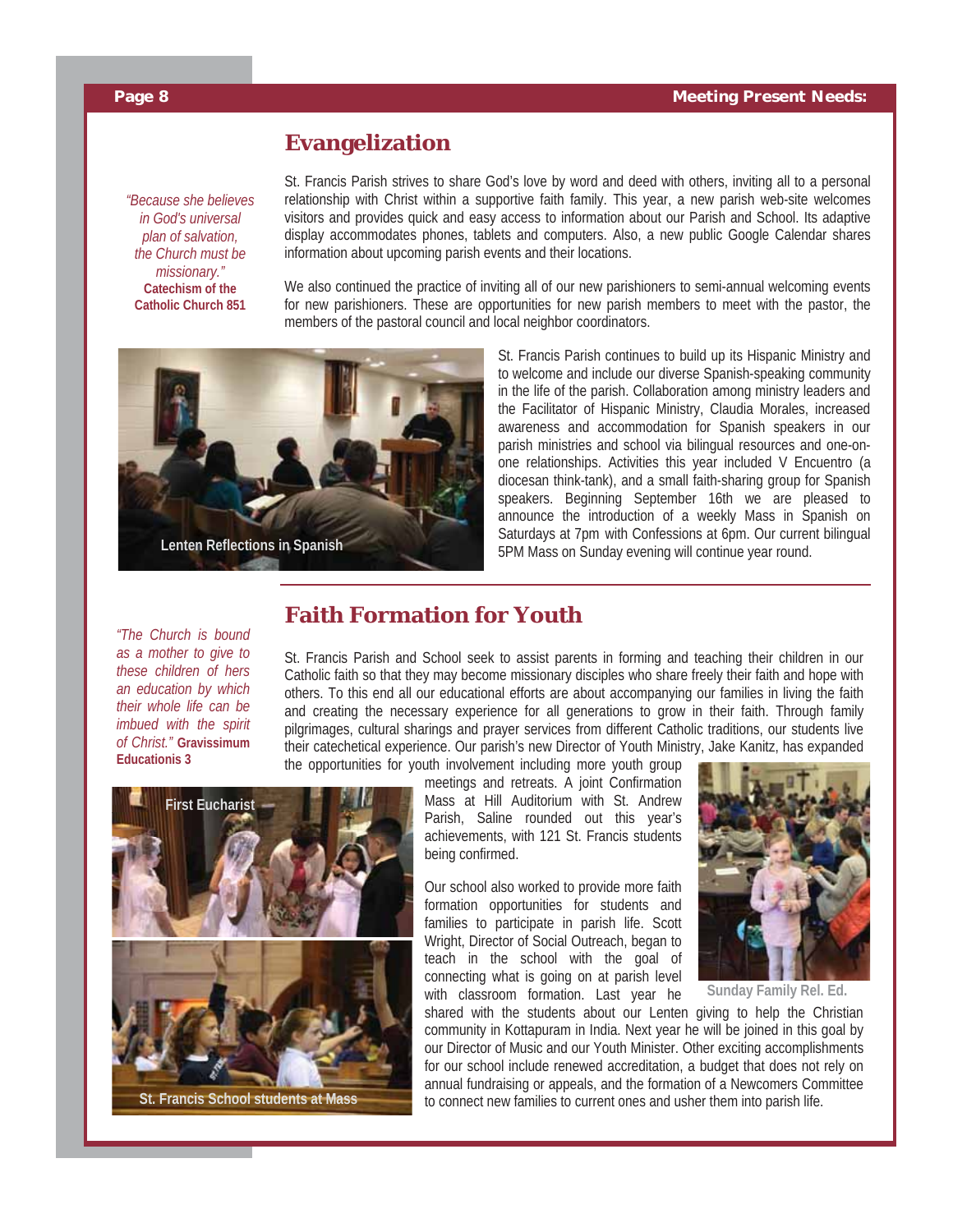#### **Evangelization**

*"Because she believes in God's universal plan of salvation, the Church must be missionary."*  **Catechism of the Catholic Church 851** 

St. Francis Parish strives to share God's love by word and deed with others, inviting all to a personal relationship with Christ within a supportive faith family. This year, a new parish web-site welcomes visitors and provides quick and easy access to information about our Parish and School. Its adaptive display accommodates phones, tablets and computers. Also, a new public Google Calendar shares information about upcoming parish events and their locations.

We also continued the practice of inviting all of our new parishioners to semi-annual welcoming events for new parishioners. These are opportunities for new parish members to meet with the pastor, the members of the pastoral council and local neighbor coordinators.



St. Francis Parish continues to build up its Hispanic Ministry and to welcome and include our diverse Spanish-speaking community in the life of the parish. Collaboration among ministry leaders and the Facilitator of Hispanic Ministry, Claudia Morales, increased awareness and accommodation for Spanish speakers in our parish ministries and school via bilingual resources and one-onone relationships. Activities this year included V Encuentro (a diocesan think-tank), and a small faith-sharing group for Spanish speakers. Beginning September 16th we are pleased to announce the introduction of a weekly Mass in Spanish on Saturdays at 7pm with Confessions at 6pm. Our current bilingual 5PM Mass on Sunday evening will continue year round.

*"The Church is bound as a mother to give to these children of hers an education by which their whole life can be imbued with the spirit of Christ."* **Gravissimum Educationis 3** 

### **Faith Formation for Youth**

St. Francis Parish and School seek to assist parents in forming and teaching their children in our Catholic faith so that they may become missionary disciples who share freely their faith and hope with others. To this end all our educational efforts are about accompanying our families in living the faith and creating the necessary experience for all generations to grow in their faith. Through family pilgrimages, cultural sharings and prayer services from different Catholic traditions, our students live their catechetical experience. Our parish's new Director of Youth Ministry, Jake Kanitz, has expanded the opportunities for youth involvement including more youth group

> meetings and retreats. A joint Confirmation Mass at Hill Auditorium with St. Andrew Parish, Saline rounded out this year's achievements, with 121 St. Francis students being confirmed.

> Our school also worked to provide more faith formation opportunities for students and families to participate in parish life. Scott Wright, Director of Social Outreach, began to teach in the school with the goal of connecting what is going on at parish level with classroom formation. Last year he



**Sunday Family Rel. Ed.** 

shared with the students about our Lenten giving to help the Christian community in Kottapuram in India. Next year he will be joined in this goal by our Director of Music and our Youth Minister. Other exciting accomplishments for our school include renewed accreditation, a budget that does not rely on annual fundraising or appeals, and the formation of a Newcomers Committee to connect new families to current ones and usher them into parish life.

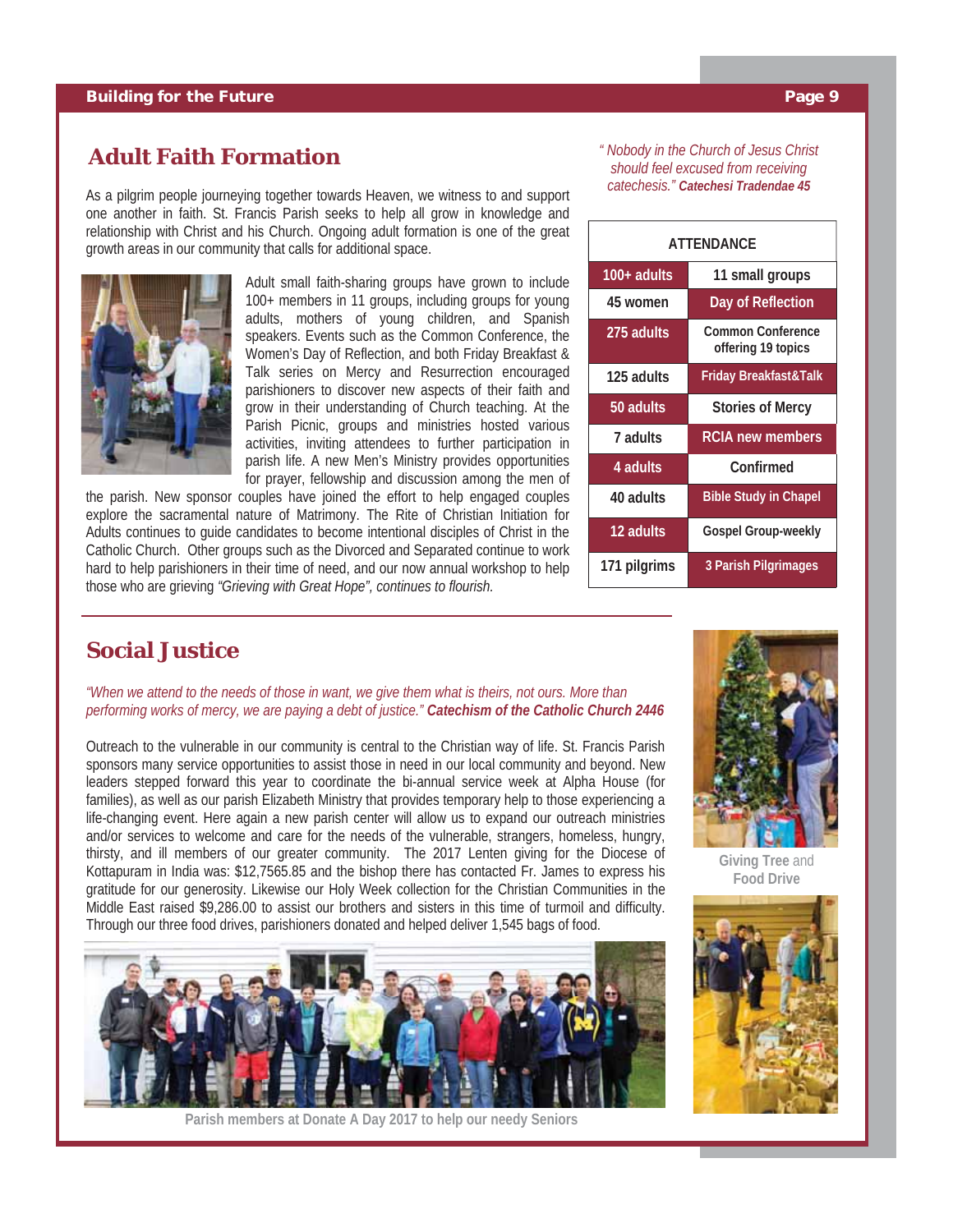#### **Adult Faith Formation**

As a pilgrim people journeying together towards Heaven, we witness to and support one another in faith. St. Francis Parish seeks to help all grow in knowledge and relationship with Christ and his Church. Ongoing adult formation is one of the great growth areas in our community that calls for additional space.



Adult small faith-sharing groups have grown to include 100+ members in 11 groups, including groups for young adults, mothers of young children, and Spanish speakers. Events such as the Common Conference, the Women's Day of Reflection, and both Friday Breakfast & Talk series on Mercy and Resurrection encouraged parishioners to discover new aspects of their faith and grow in their understanding of Church teaching. At the Parish Picnic, groups and ministries hosted various activities, inviting attendees to further participation in parish life. A new Men's Ministry provides opportunities for prayer, fellowship and discussion among the men of

the parish. New sponsor couples have joined the effort to help engaged couples explore the sacramental nature of Matrimony. The Rite of Christian Initiation for Adults continues to guide candidates to become intentional disciples of Christ in the Catholic Church. Other groups such as the Divorced and Separated continue to work hard to help parishioners in their time of need, and our now annual workshop to help those who are grieving *"Grieving with Great Hope", continues to flourish.*

#### *" Nobody in the Church of Jesus Christ should feel excused from receiving catechesis." Catechesi Tradendae 45*

| ATTFNDANCF    |                                         |  |
|---------------|-----------------------------------------|--|
| $100+$ adults | 11 small groups                         |  |
| 45 women      | Day of Reflection                       |  |
| 275 adults    | Common Conference<br>offering 19 topics |  |
| 125 adults    | Friday Breakfast&Talk                   |  |
| 50 adults     | <b>Stories of Mercy</b>                 |  |
| 7 adults      | <b>RCIA new members</b>                 |  |
| 4 adults      | Confirmed                               |  |
| 40 adults     | <b>Bible Study in Chapel</b>            |  |
| 12 adults     | <b>Gospel Group-weekly</b>              |  |
| 171 pilgrims  | 3 Parish Pilgrimages                    |  |

#### **Social Justice**

*"When we attend to the needs of those in want, we give them what is theirs, not ours. More than performing works of mercy, we are paying a debt of justice." Catechism of the Catholic Church 2446* 

Outreach to the vulnerable in our community is central to the Christian way of life. St. Francis Parish sponsors many service opportunities to assist those in need in our local community and beyond. New leaders stepped forward this year to coordinate the bi-annual service week at Alpha House (for families), as well as our parish Elizabeth Ministry that provides temporary help to those experiencing a life-changing event. Here again a new parish center will allow us to expand our outreach ministries and/or services to welcome and care for the needs of the vulnerable, strangers, homeless, hungry, thirsty, and ill members of our greater community. The 2017 Lenten giving for the Diocese of Kottapuram in India was: \$12,7565.85 and the bishop there has contacted Fr. James to express his gratitude for our generosity. Likewise our Holy Week collection for the Christian Communities in the Middle East raised \$9,286.00 to assist our brothers and sisters in this time of turmoil and difficulty. Through our three food drives, parishioners donated and helped deliver 1,545 bags of food.



**Parish members at Donate A Day 2017 to help our needy Seniors** 



**Giving Tree** and **Food Drive** 

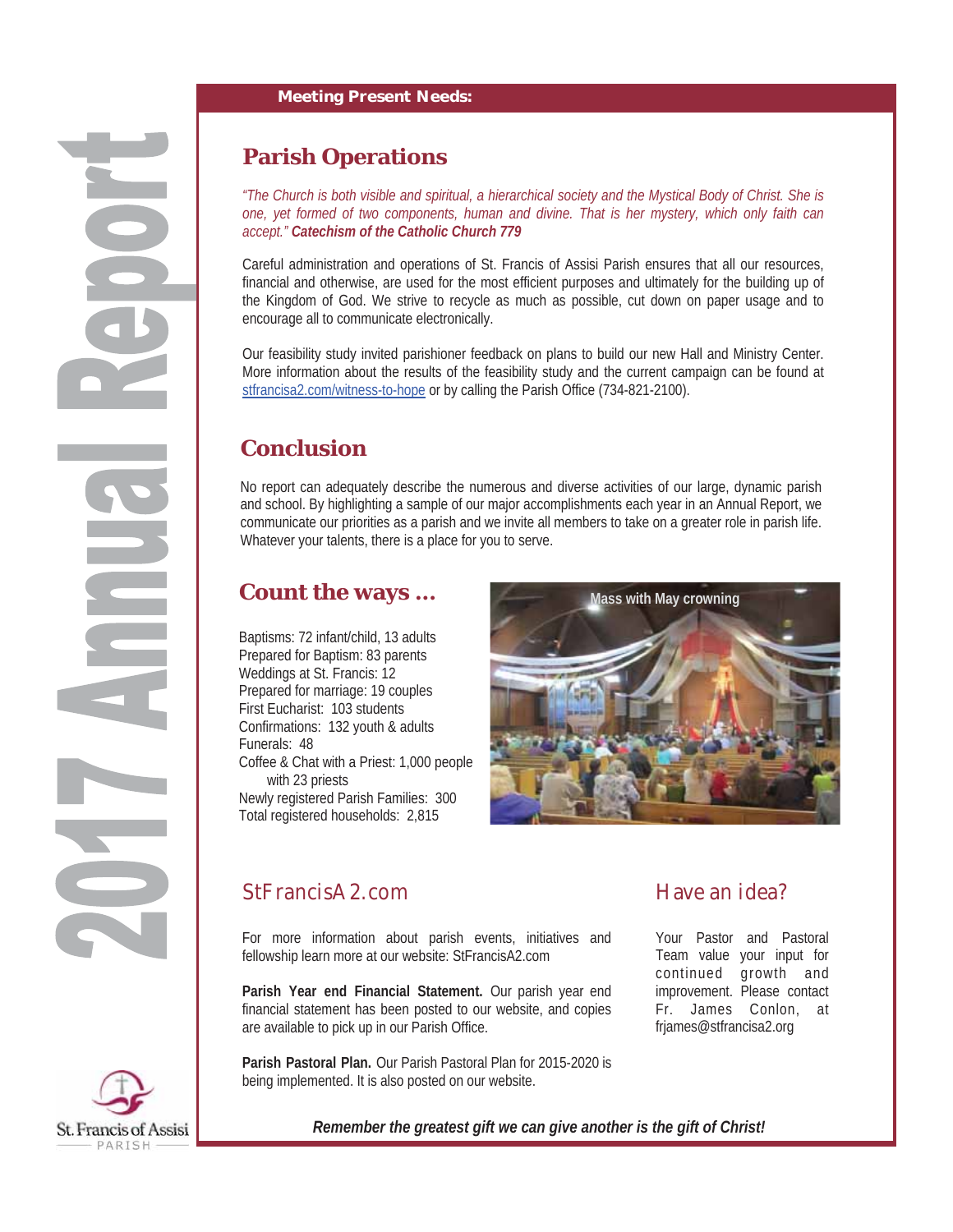## **Parish Operations**

*"The Church is both visible and spiritual, a hierarchical society and the Mystical Body of Christ. She is one, yet formed of two components, human and divine. That is her mystery, which only faith can accept." Catechism of the Catholic Church 779*

Careful administration and operations of St. Francis of Assisi Parish ensures that all our resources, financial and otherwise, are used for the most efficient purposes and ultimately for the building up of the Kingdom of God. We strive to recycle as much as possible, cut down on paper usage and to encourage all to communicate electronically.

Our feasibility study invited parishioner feedback on plans to build our new Hall and Ministry Center. More information about the results of the feasibility study and the current campaign can be found at stfrancisa2.com/witness-to-hope or by calling the Parish Office (734-821-2100).

## **Conclusion**

No report can adequately describe the numerous and diverse activities of our large, dynamic parish and school. By highlighting a sample of our major accomplishments each year in an Annual Report, we communicate our priorities as a parish and we invite all members to take on a greater role in parish life. Whatever your talents, there is a place for you to serve.

## **Count the ways ...**

Baptisms: 72 infant/child, 13 adults Prepared for Baptism: 83 parents Weddings at St. Francis: 12 Prepared for marriage: 19 couples First Eucharist: 103 students Confirmations: 132 youth & adults Funerals: 48 Coffee & Chat with a Priest: 1,000 people with 23 priests Newly registered Parish Families: 300 Total registered households: 2,815



## StFrancisA2.com

For more information about parish events, initiatives and fellowship learn more at our website: StFrancisA2.com

**Parish Year end Financial Statement.** Our parish year end financial statement has been posted to our website, and copies are available to pick up in our Parish Office.

**Parish Pastoral Plan.** Our Parish Pastoral Plan for 2015-2020 is being implemented. It is also posted on our website.

## Have an idea?

Your Pastor and Pastoral Team value your input for continued growth and improvement. Please contact Fr. James Conlon, at frjames@stfrancisa2.org



*Remember the greatest gift we can give another is the gift of Christ!*